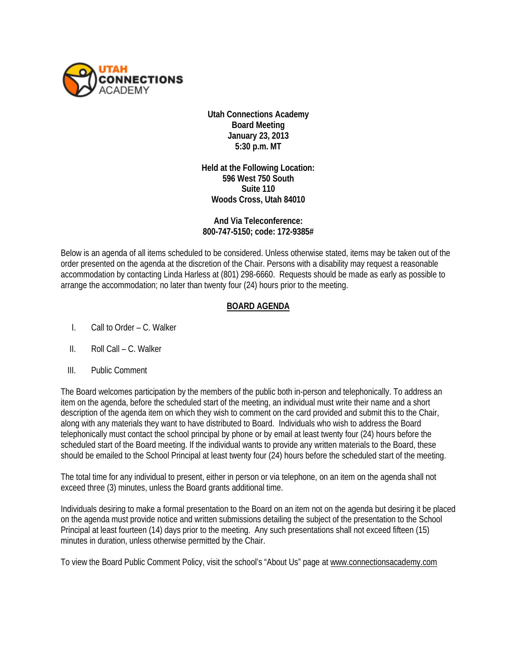

**Utah Connections Academy Board Meeting January 23, 2013 5:30 p.m. MT**

**Held at the Following Location: 596 West 750 South Suite 110 Woods Cross, Utah 84010**

**And Via Teleconference: 800-747-5150; code: 172-9385#** 

Below is an agenda of all items scheduled to be considered. Unless otherwise stated, items may be taken out of the order presented on the agenda at the discretion of the Chair. Persons with a disability may request a reasonable accommodation by contacting Linda Harless at (801) 298-6660. Requests should be made as early as possible to arrange the accommodation; no later than twenty four (24) hours prior to the meeting.

## **BOARD AGENDA**

- I. Call to Order C. Walker
- II. Roll Call C. Walker
- III. Public Comment

The Board welcomes participation by the members of the public both in-person and telephonically. To address an item on the agenda, before the scheduled start of the meeting, an individual must write their name and a short description of the agenda item on which they wish to comment on the card provided and submit this to the Chair, along with any materials they want to have distributed to Board. Individuals who wish to address the Board telephonically must contact the school principal by phone or by email at least twenty four (24) hours before the scheduled start of the Board meeting. If the individual wants to provide any written materials to the Board, these should be emailed to the School Principal at least twenty four (24) hours before the scheduled start of the meeting.

The total time for any individual to present, either in person or via telephone, on an item on the agenda shall not exceed three (3) minutes, unless the Board grants additional time.

Individuals desiring to make a formal presentation to the Board on an item not on the agenda but desiring it be placed on the agenda must provide notice and written submissions detailing the subject of the presentation to the School Principal at least fourteen (14) days prior to the meeting. Any such presentations shall not exceed fifteen (15) minutes in duration, unless otherwise permitted by the Chair.

To view the Board Public Comment Policy, visit the school's "About Us" page at [www.connectionsacademy.com](http://www.connectionsacademy.com/)